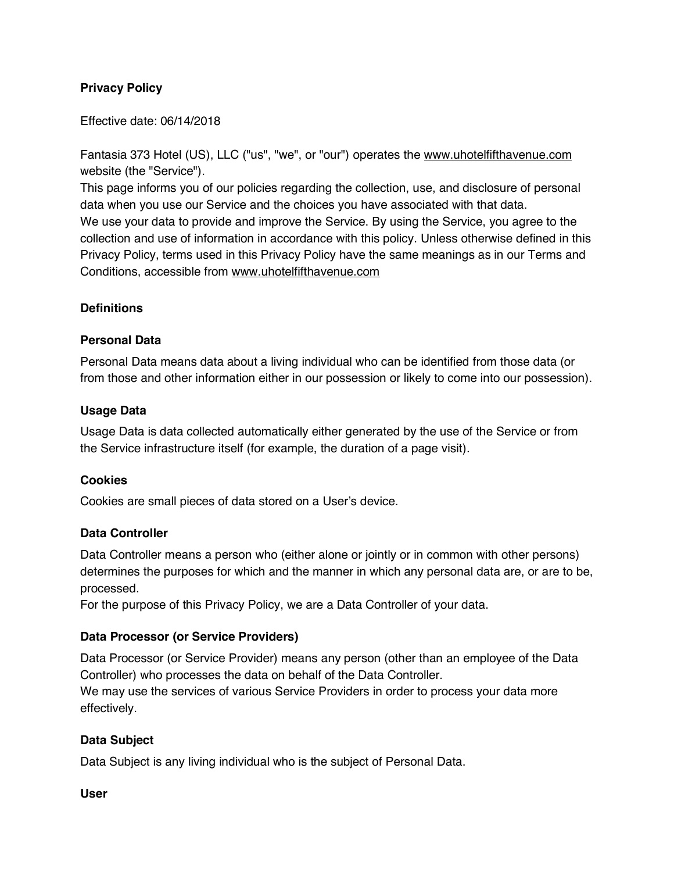## **Privacy Policy**

Effective date: 06/14/2018

Fantasia 373 Hotel (US), LLC ("us", "we", or "our") operates the www.uhotelfifthavenue.com website (the "Service").

This page informs you of our policies regarding the collection, use, and disclosure of personal data when you use our Service and the choices you have associated with that data. We use your data to provide and improve the Service. By using the Service, you agree to the collection and use of information in accordance with this policy. Unless otherwise defined in this Privacy Policy, terms used in this Privacy Policy have the same meanings as in our Terms and Conditions, accessible from www.uhotelfifthavenue.com

#### **Definitions**

#### **Personal Data**

Personal Data means data about a living individual who can be identified from those data (or from those and other information either in our possession or likely to come into our possession).

#### **Usage Data**

Usage Data is data collected automatically either generated by the use of the Service or from the Service infrastructure itself (for example, the duration of a page visit).

### **Cookies**

Cookies are small pieces of data stored on a User's device.

### **Data Controller**

Data Controller means a person who (either alone or jointly or in common with other persons) determines the purposes for which and the manner in which any personal data are, or are to be, processed.

For the purpose of this Privacy Policy, we are a Data Controller of your data.

### **Data Processor (or Service Providers)**

Data Processor (or Service Provider) means any person (other than an employee of the Data Controller) who processes the data on behalf of the Data Controller.

We may use the services of various Service Providers in order to process your data more effectively.

### **Data Subject**

Data Subject is any living individual who is the subject of Personal Data.

#### **User**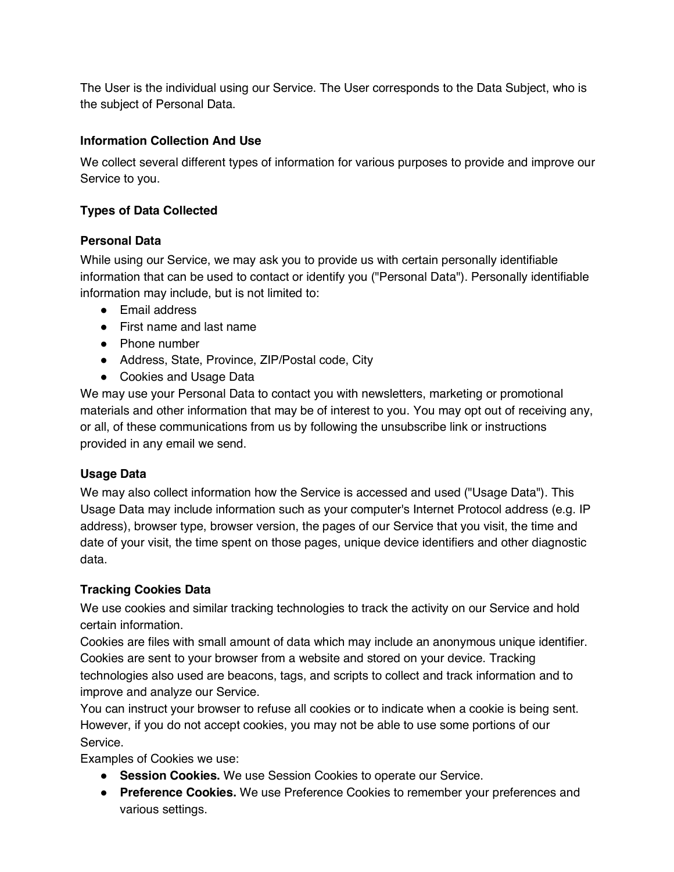The User is the individual using our Service. The User corresponds to the Data Subject, who is the subject of Personal Data.

# **Information Collection And Use**

We collect several different types of information for various purposes to provide and improve our Service to you.

### **Types of Data Collected**

### **Personal Data**

While using our Service, we may ask you to provide us with certain personally identifiable information that can be used to contact or identify you ("Personal Data"). Personally identifiable information may include, but is not limited to:

- Email address
- First name and last name
- Phone number
- ! Address, State, Province, ZIP/Postal code, City
- Cookies and Usage Data

We may use your Personal Data to contact you with newsletters, marketing or promotional materials and other information that may be of interest to you. You may opt out of receiving any, or all, of these communications from us by following the unsubscribe link or instructions provided in any email we send.

### **Usage Data**

We may also collect information how the Service is accessed and used ("Usage Data"). This Usage Data may include information such as your computer's Internet Protocol address (e.g. IP address), browser type, browser version, the pages of our Service that you visit, the time and date of your visit, the time spent on those pages, unique device identifiers and other diagnostic data.

### **Tracking Cookies Data**

We use cookies and similar tracking technologies to track the activity on our Service and hold certain information.

Cookies are files with small amount of data which may include an anonymous unique identifier. Cookies are sent to your browser from a website and stored on your device. Tracking technologies also used are beacons, tags, and scripts to collect and track information and to improve and analyze our Service.

You can instruct your browser to refuse all cookies or to indicate when a cookie is being sent. However, if you do not accept cookies, you may not be able to use some portions of our Service.

Examples of Cookies we use:

- **Session Cookies.** We use Session Cookies to operate our Service.
- ! **Preference Cookies.** We use Preference Cookies to remember your preferences and various settings.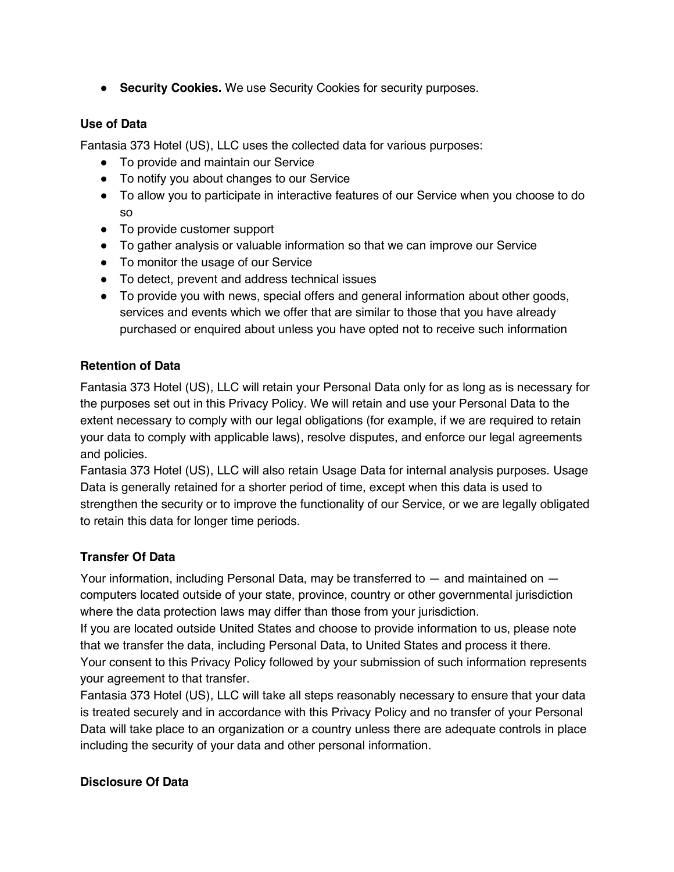**• Security Cookies.** We use Security Cookies for security purposes.

## **Use of Data**

Fantasia 373 Hotel (US), LLC uses the collected data for various purposes:

- To provide and maintain our Service
- To notify you about changes to our Service
- To allow you to participate in interactive features of our Service when you choose to do so
- To provide customer support
- To gather analysis or valuable information so that we can improve our Service
- To monitor the usage of our Service
- To detect, prevent and address technical issues
- To provide you with news, special offers and general information about other goods, services and events which we offer that are similar to those that you have already purchased or enquired about unless you have opted not to receive such information

# **Retention of Data**

Fantasia 373 Hotel (US), LLC will retain your Personal Data only for as long as is necessary for the purposes set out in this Privacy Policy. We will retain and use your Personal Data to the extent necessary to comply with our legal obligations (for example, if we are required to retain your data to comply with applicable laws), resolve disputes, and enforce our legal agreements and policies.

Fantasia 373 Hotel (US), LLC will also retain Usage Data for internal analysis purposes. Usage Data is generally retained for a shorter period of time, except when this data is used to strengthen the security or to improve the functionality of our Service, or we are legally obligated to retain this data for longer time periods.

### **Transfer Of Data**

Your information, including Personal Data, may be transferred to — and maintained on computers located outside of your state, province, country or other governmental jurisdiction where the data protection laws may differ than those from your jurisdiction.

If you are located outside United States and choose to provide information to us, please note that we transfer the data, including Personal Data, to United States and process it there.

Your consent to this Privacy Policy followed by your submission of such information represents your agreement to that transfer.

Fantasia 373 Hotel (US), LLC will take all steps reasonably necessary to ensure that your data is treated securely and in accordance with this Privacy Policy and no transfer of your Personal Data will take place to an organization or a country unless there are adequate controls in place including the security of your data and other personal information.

# **Disclosure Of Data**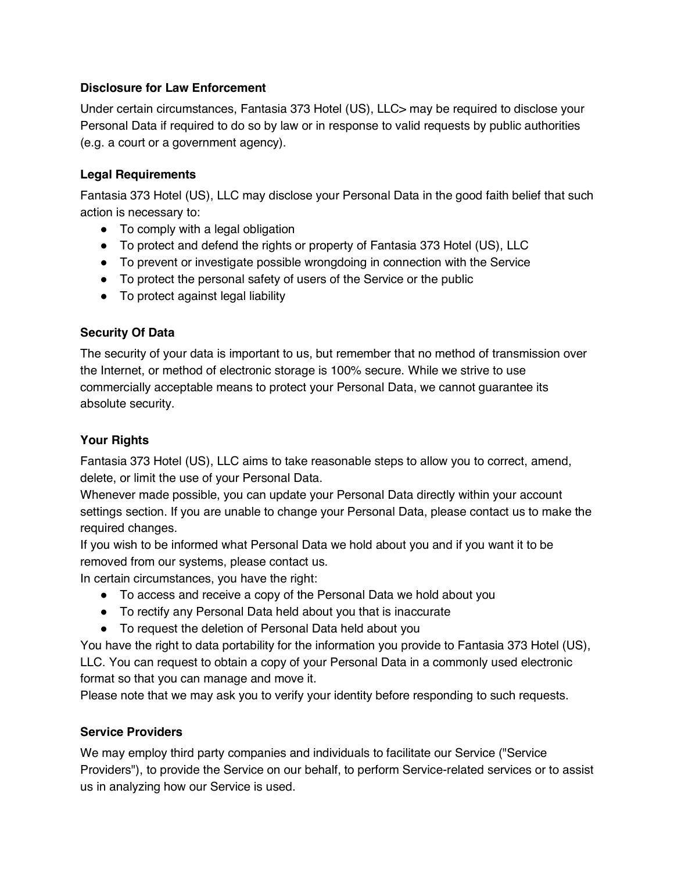### **Disclosure for Law Enforcement**

Under certain circumstances, Fantasia 373 Hotel (US), LLC> may be required to disclose your Personal Data if required to do so by law or in response to valid requests by public authorities (e.g. a court or a government agency).

### **Legal Requirements**

Fantasia 373 Hotel (US), LLC may disclose your Personal Data in the good faith belief that such action is necessary to:

- To comply with a legal obligation
- To protect and defend the rights or property of Fantasia 373 Hotel (US), LLC
- To prevent or investigate possible wrongdoing in connection with the Service
- To protect the personal safety of users of the Service or the public
- To protect against legal liability

# **Security Of Data**

The security of your data is important to us, but remember that no method of transmission over the Internet, or method of electronic storage is 100% secure. While we strive to use commercially acceptable means to protect your Personal Data, we cannot guarantee its absolute security.

## **Your Rights**

Fantasia 373 Hotel (US), LLC aims to take reasonable steps to allow you to correct, amend, delete, or limit the use of your Personal Data.

Whenever made possible, you can update your Personal Data directly within your account settings section. If you are unable to change your Personal Data, please contact us to make the required changes.

If you wish to be informed what Personal Data we hold about you and if you want it to be removed from our systems, please contact us.

In certain circumstances, you have the right:

- To access and receive a copy of the Personal Data we hold about you
- To rectify any Personal Data held about you that is inaccurate
- To request the deletion of Personal Data held about you

You have the right to data portability for the information you provide to Fantasia 373 Hotel (US), LLC. You can request to obtain a copy of your Personal Data in a commonly used electronic format so that you can manage and move it.

Please note that we may ask you to verify your identity before responding to such requests.

### **Service Providers**

We may employ third party companies and individuals to facilitate our Service ("Service Providers"), to provide the Service on our behalf, to perform Service-related services or to assist us in analyzing how our Service is used.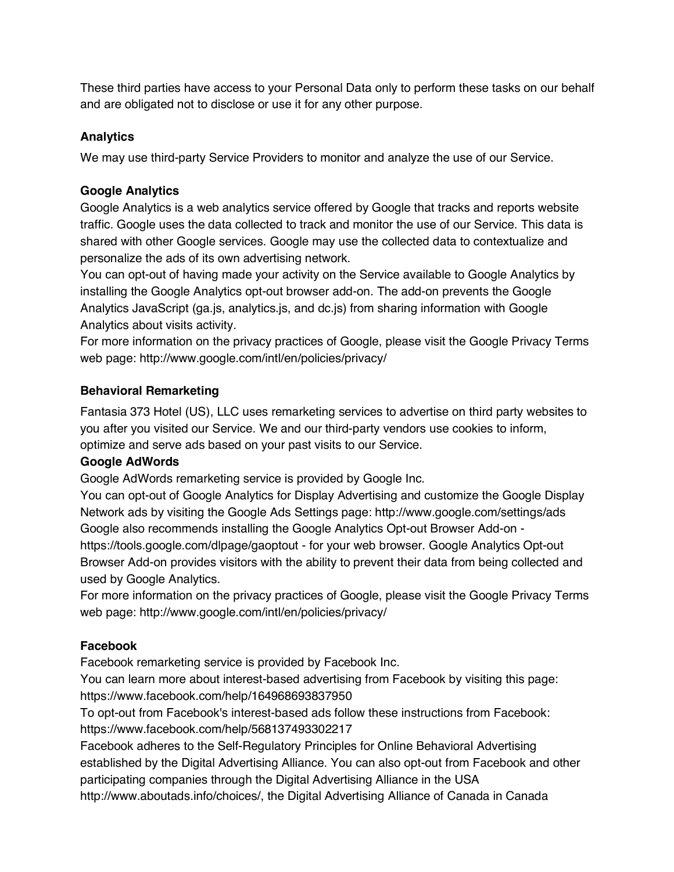These third parties have access to your Personal Data only to perform these tasks on our behalf and are obligated not to disclose or use it for any other purpose.

## **Analytics**

We may use third-party Service Providers to monitor and analyze the use of our Service.

# **Google Analytics**

Google Analytics is a web analytics service offered by Google that tracks and reports website traffic. Google uses the data collected to track and monitor the use of our Service. This data is shared with other Google services. Google may use the collected data to contextualize and personalize the ads of its own advertising network.

You can opt-out of having made your activity on the Service available to Google Analytics by installing the Google Analytics opt-out browser add-on. The add-on prevents the Google Analytics JavaScript (ga.js, analytics.js, and dc.js) from sharing information with Google Analytics about visits activity.

For more information on the privacy practices of Google, please visit the Google Privacy Terms web page: http://www.google.com/intl/en/policies/privacy/

# **Behavioral Remarketing**

Fantasia 373 Hotel (US), LLC uses remarketing services to advertise on third party websites to you after you visited our Service. We and our third-party vendors use cookies to inform, optimize and serve ads based on your past visits to our Service.

### **Google AdWords**

Google AdWords remarketing service is provided by Google Inc.

You can opt-out of Google Analytics for Display Advertising and customize the Google Display Network ads by visiting the Google Ads Settings page: http://www.google.com/settings/ads Google also recommends installing the Google Analytics Opt-out Browser Add-on -

https://tools.google.com/dlpage/gaoptout - for your web browser. Google Analytics Opt-out Browser Add-on provides visitors with the ability to prevent their data from being collected and used by Google Analytics.

For more information on the privacy practices of Google, please visit the Google Privacy Terms web page: http://www.google.com/intl/en/policies/privacy/

# **Facebook**

Facebook remarketing service is provided by Facebook Inc.

You can learn more about interest-based advertising from Facebook by visiting this page: https://www.facebook.com/help/164968693837950

To opt-out from Facebook's interest-based ads follow these instructions from Facebook: https://www.facebook.com/help/568137493302217

Facebook adheres to the Self-Regulatory Principles for Online Behavioral Advertising established by the Digital Advertising Alliance. You can also opt-out from Facebook and other participating companies through the Digital Advertising Alliance in the USA

http://www.aboutads.info/choices/, the Digital Advertising Alliance of Canada in Canada